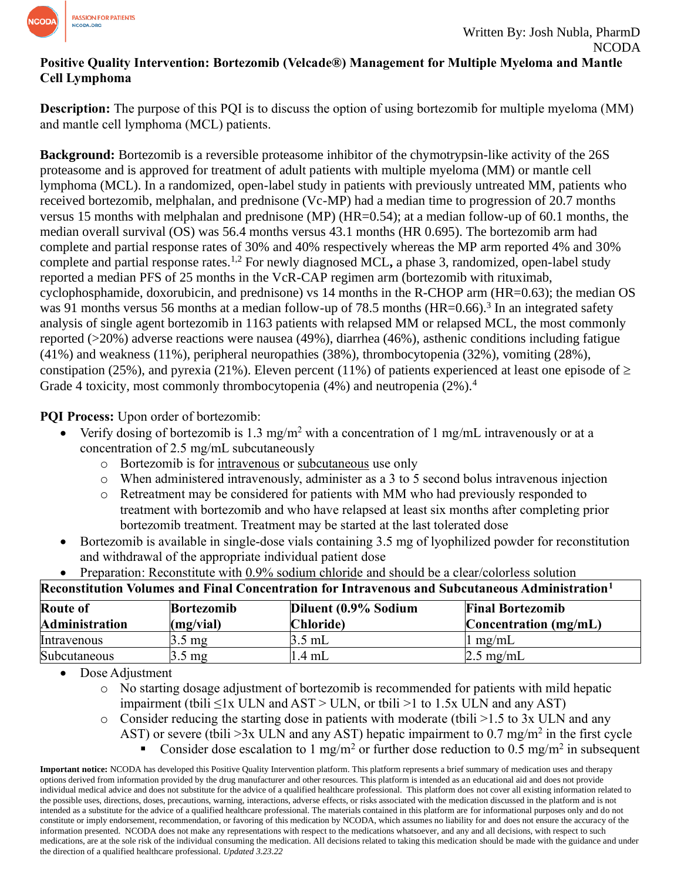

## **Positive Quality Intervention: Bortezomib (Velcade®) Management for Multiple Myeloma and Mantle Cell Lymphoma**

**Description:** The purpose of this PQI is to discuss the option of using bortezomib for multiple myeloma (MM) and mantle cell lymphoma (MCL) patients.

**Background:** Bortezomib is a reversible proteasome inhibitor of the chymotrypsin-like activity of the 26S proteasome and is approved for treatment of adult patients with multiple myeloma (MM) or mantle cell lymphoma (MCL). In a randomized, open-label study in patients with previously untreated MM, patients who received bortezomib, melphalan, and prednisone (Vc-MP) had a median time to progression of 20.7 months versus 15 months with melphalan and prednisone (MP) (HR=0.54); at a median follow-up of 60.1 months, the median overall survival (OS) was 56.4 months versus 43.1 months (HR 0.695). The bortezomib arm had complete and partial response rates of 30% and 40% respectively whereas the MP arm reported 4% and 30% complete and partial response rates.1,2 For newly diagnosed MCL**,** a phase 3, randomized, open-label study reported a median PFS of 25 months in the VcR-CAP regimen arm (bortezomib with rituximab, cyclophosphamide, doxorubicin, and prednisone) vs 14 months in the R-CHOP arm (HR=0.63); the median OS was 91 months versus 56 months at a median follow-up of 78.5 months (HR=0.66).<sup>3</sup> In an integrated safety analysis of single agent bortezomib in 1163 patients with relapsed MM or relapsed MCL, the most commonly reported (>20%) adverse reactions were nausea (49%), diarrhea (46%), asthenic conditions including fatigue (41%) and weakness (11%), peripheral neuropathies (38%), thrombocytopenia (32%), vomiting (28%), constipation (25%), and pyrexia (21%). Eleven percent (11%) of patients experienced at least one episode of  $\geq$ Grade 4 toxicity, most commonly thrombocytopenia (4%) and neutropenia (2%).<sup>4</sup>

**PQI Process:** Upon order of bortezomib:

- Verify dosing of bortezomib is 1.3 mg/m<sup>2</sup> with a concentration of 1 mg/mL intravenously or at a concentration of 2.5 mg/mL subcutaneously
	- o Bortezomib is for intravenous or subcutaneous use only
	- $\circ$  When administered intravenously, administer as a 3 to 5 second bolus intravenous injection
	- o Retreatment may be considered for patients with MM who had previously responded to treatment with bortezomib and who have relapsed at least six months after completing prior bortezomib treatment. Treatment may be started at the last tolerated dose
- Bortezomib is available in single-dose vials containing 3.5 mg of lyophilized powder for reconstitution and withdrawal of the appropriate individual patient dose

| Reconstitution Volumes and Final Concentration for Intravenous and Subcutaneous Administration $1$ |                                |                                   |                                                    |  |  |  |  |  |
|----------------------------------------------------------------------------------------------------|--------------------------------|-----------------------------------|----------------------------------------------------|--|--|--|--|--|
| <b>Route of</b><br><b>Administration</b>                                                           | <b>Bortezomib</b><br>(mg/vial) | Diluent (0.9% Sodium<br>Chloride) | <b>Final Bortezomib</b><br>Concentration $(mg/mL)$ |  |  |  |  |  |
| Intravenous                                                                                        | $3.5 \text{ mg}$               | 3.5 mL                            | $1 \text{ mg/mL}$                                  |  |  |  |  |  |
| Subcutaneous                                                                                       | $3.5 \text{ mg}$               | $.4 \text{ mL}$                   | $2.5 \text{ mg/mL}$                                |  |  |  |  |  |

• Preparation: Reconstitute with 0.9% sodium chloride and should be a clear/colorless solution

• Dose Adjustment

o No starting dosage adjustment of bortezomib is recommended for patients with mild hepatic impairment (tbili  $\leq$ 1x ULN and AST > ULN, or tbili >1 to 1.5x ULN and any AST)

- $\circ$  Consider reducing the starting dose in patients with moderate (tbili >1.5 to 3x ULN and any AST) or severe (tbili >3x ULN and any AST) hepatic impairment to 0.7 mg/m<sup>2</sup> in the first cycle
	- Consider dose escalation to 1 mg/m<sup>2</sup> or further dose reduction to 0.5 mg/m<sup>2</sup> in subsequent

**Important notice:** NCODA has developed this Positive Quality Intervention platform. This platform represents a brief summary of medication uses and therapy options derived from information provided by the drug manufacturer and other resources. This platform is intended as an educational aid and does not provide individual medical advice and does not substitute for the advice of a qualified healthcare professional. This platform does not cover all existing information related to the possible uses, directions, doses, precautions, warning, interactions, adverse effects, or risks associated with the medication discussed in the platform and is not intended as a substitute for the advice of a qualified healthcare professional. The materials contained in this platform are for informational purposes only and do not constitute or imply endorsement, recommendation, or favoring of this medication by NCODA, which assumes no liability for and does not ensure the accuracy of the information presented. NCODA does not make any representations with respect to the medications whatsoever, and any and all decisions, with respect to such medications, are at the sole risk of the individual consuming the medication. All decisions related to taking this medication should be made with the guidance and under the direction of a qualified healthcare professional. *Updated 3.23.22*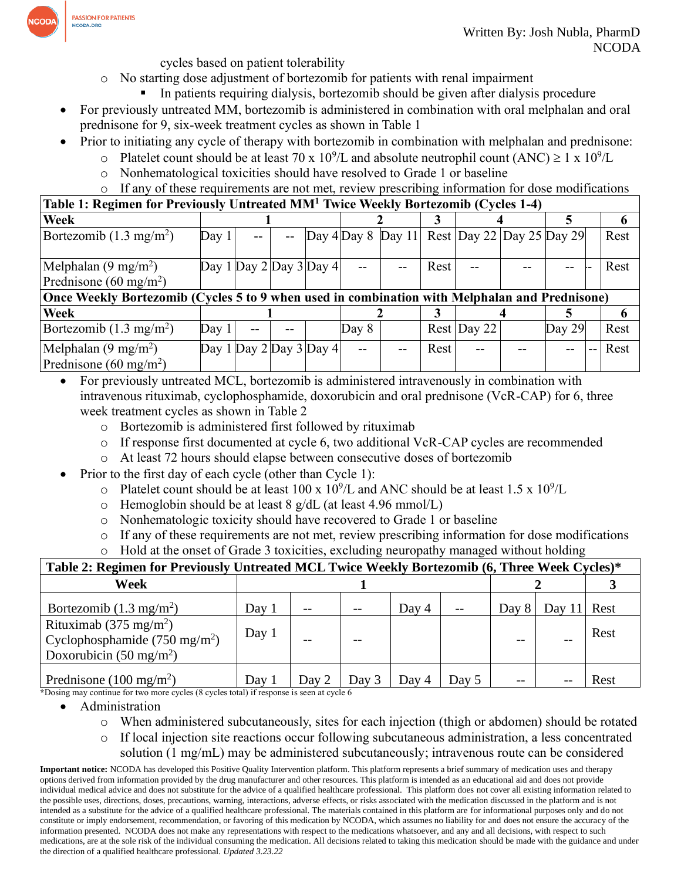

cycles based on patient tolerability

- o No starting dose adjustment of bortezomib for patients with renal impairment
	- In patients requiring dialysis, bortezomib should be given after dialysis procedure
- For previously untreated MM, bortezomib is administered in combination with oral melphalan and oral prednisone for 9, six-week treatment cycles as shown in Table 1
- Prior to initiating any cycle of therapy with bortezomib in combination with melphalan and prednisone:
	- o Platelet count should be at least 70 x  $10^9$ /L and absolute neutrophil count (ANC)  $\geq 1 \times 10^9$ /L
	- o Nonhematological toxicities should have resolved to Grade 1 or baseline

## o If any of these requirements are not met, review prescribing information for dose modifications

**Table 1: Regimen for Previously Untreated MM<sup>1</sup> Twice Weekly Bortezomib (Cycles 1-4)**

| Week                                                                                          |                         |                         |  |  |       |  |      |                                              |  |          |  | o    |
|-----------------------------------------------------------------------------------------------|-------------------------|-------------------------|--|--|-------|--|------|----------------------------------------------|--|----------|--|------|
| Bortezomib $(1.3 \text{ mg/m}^2)$                                                             | Day 1                   | $-$                     |  |  |       |  |      | Day 4 Day 8 Day 11 Rest Day 22 Day 25 Day 29 |  |          |  | Rest |
|                                                                                               |                         |                         |  |  |       |  |      |                                              |  |          |  |      |
| Melphalan $(9 \text{ mg/m}^2)$                                                                | Day 1 Day 2 Day 3 Day 4 |                         |  |  | $- -$ |  | Rest |                                              |  |          |  | Rest |
| Prednisone (60 mg/m <sup>2</sup> )                                                            |                         |                         |  |  |       |  |      |                                              |  |          |  |      |
| Once Weekly Bortezomib (Cycles 5 to 9 when used in combination with Melphalan and Prednisone) |                         |                         |  |  |       |  |      |                                              |  |          |  |      |
| Week                                                                                          |                         |                         |  |  |       |  |      |                                              |  |          |  |      |
| Bortezomib $(1.3 \text{ mg/m}^2)$                                                             | Day 1                   |                         |  |  | Day 8 |  |      | $Rest$ Day 22                                |  | Day $29$ |  | Rest |
| Melphalan $(9 \text{ mg/m}^2)$                                                                |                         | Day 1 Day 2 Day 3 Day 4 |  |  | $-$   |  | Rest | $-$                                          |  |          |  | Rest |
| Prednisone (60 mg/m <sup>2</sup> )                                                            |                         |                         |  |  |       |  |      |                                              |  |          |  |      |

- For previously untreated MCL, bortezomib is administered intravenously in combination with intravenous rituximab, cyclophosphamide, doxorubicin and oral prednisone (VcR-CAP) for 6, three week treatment cycles as shown in Table 2
	- o Bortezomib is administered first followed by rituximab
	- o If response first documented at cycle 6, two additional VcR-CAP cycles are recommended
	- o At least 72 hours should elapse between consecutive doses of bortezomib
- Prior to the first day of each cycle (other than Cycle 1):
	- $\circ$  Platelet count should be at least 100 x 10<sup>9</sup>/L and ANC should be at least 1.5 x 10<sup>9</sup>/L
	- $\circ$  Hemoglobin should be at least 8 g/dL (at least 4.96 mmol/L)
	- o Nonhematologic toxicity should have recovered to Grade 1 or baseline
	- o If any of these requirements are not met, review prescribing information for dose modifications
	- o Hold at the onset of Grade 3 toxicities, excluding neuropathy managed without holding

| Table 2: Regimen for Previously Untreated MCL Twice Weekly Bortezomib (6, Three Week Cycles)*                      |         |       |       |       |       |       |          |      |  |
|--------------------------------------------------------------------------------------------------------------------|---------|-------|-------|-------|-------|-------|----------|------|--|
| Week                                                                                                               |         |       |       |       |       |       |          |      |  |
| Bortezomib $(1.3 \text{ mg/m}^2)$                                                                                  | Day 1   | $- -$ |       | Day 4 | $-$   | Day 8 | Day $11$ | Rest |  |
| Rituximab (375 mg/m <sup>2</sup> )<br>Cyclophosphamide $(750 \text{ mg/m}^2)$<br>Doxorubicin $(50 \text{ mg/m}^2)$ | Day 1   |       |       |       |       |       |          | Rest |  |
| Prednisone (100 mg/m <sup>2</sup> )                                                                                | Day $1$ | Day 2 | Day 3 | Day 4 | Day 5 | $- -$ |          | Rest |  |

**\***Dosing may continue for two more cycles (8 cycles total) if response is seen at cycle 6

- Administration
	- o When administered subcutaneously, sites for each injection (thigh or abdomen) should be rotated
	- o If local injection site reactions occur following subcutaneous administration, a less concentrated solution (1 mg/mL) may be administered subcutaneously; intravenous route can be considered

**Important notice:** NCODA has developed this Positive Quality Intervention platform. This platform represents a brief summary of medication uses and therapy options derived from information provided by the drug manufacturer and other resources. This platform is intended as an educational aid and does not provide individual medical advice and does not substitute for the advice of a qualified healthcare professional. This platform does not cover all existing information related to the possible uses, directions, doses, precautions, warning, interactions, adverse effects, or risks associated with the medication discussed in the platform and is not intended as a substitute for the advice of a qualified healthcare professional. The materials contained in this platform are for informational purposes only and do not constitute or imply endorsement, recommendation, or favoring of this medication by NCODA, which assumes no liability for and does not ensure the accuracy of the information presented. NCODA does not make any representations with respect to the medications whatsoever, and any and all decisions, with respect to such medications, are at the sole risk of the individual consuming the medication. All decisions related to taking this medication should be made with the guidance and under the direction of a qualified healthcare professional. *Updated 3.23.22*